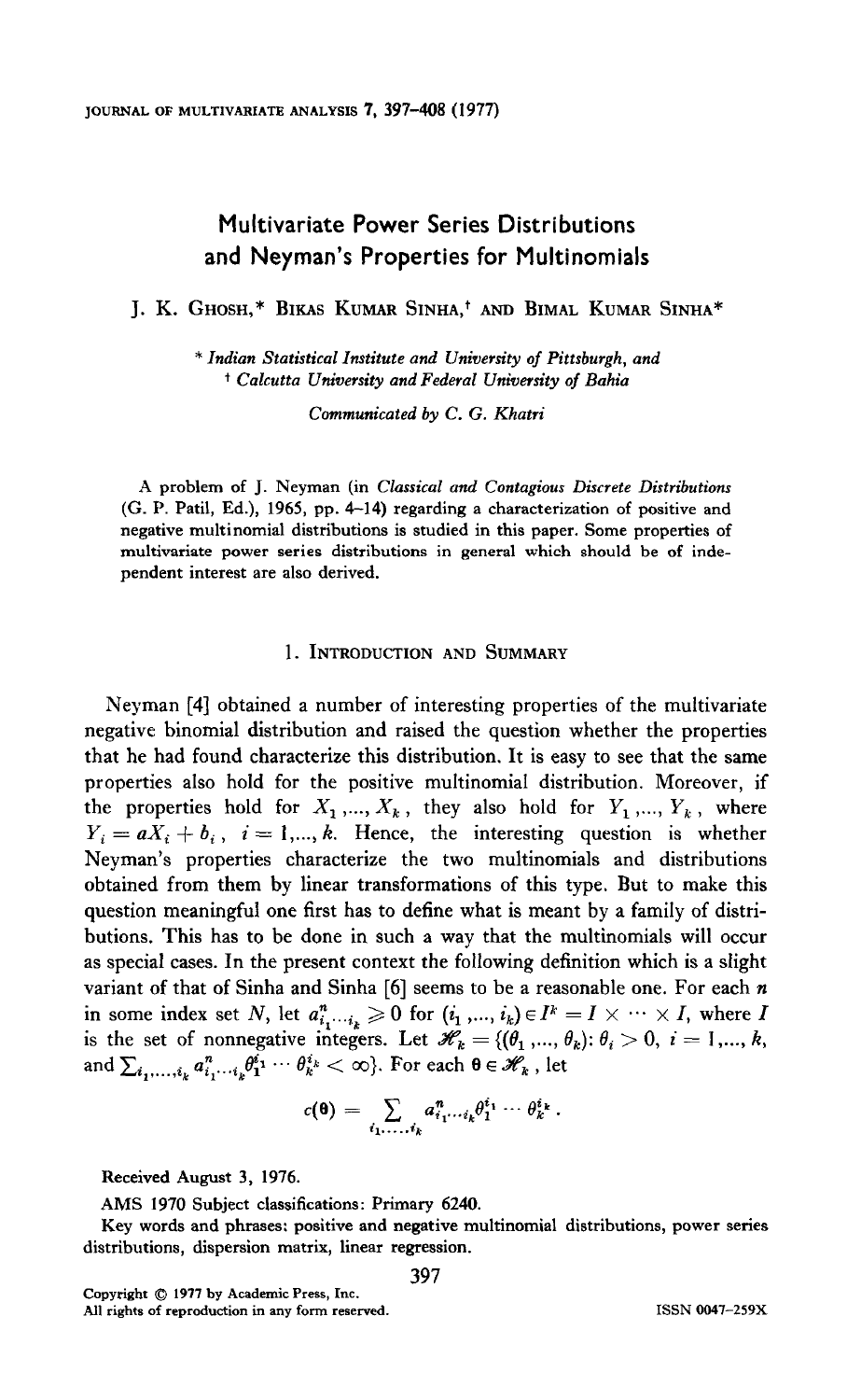# Multivariate Power Series Distributions and Neyman's Properties for Multinomials

J. K. GHOSH,\* BIKAS KUMAR SINHA,+ AND BIMAL KUMAR SINHA\*

\* Indian Statistical Institute and University of Pittsburgh, and + Calcutta University and Federal University of Bahia

Communicated by C. G. Khatri

A problem of J. Neyman (in Classical and Contagious Discrete Distributions  $(G. P. Patil, Ed.), 1965, pp. 4-14) regarding a characterization of positive and$ negative multinomial distributions is studied in this paper. Some properties of multivariate power series distributions in general which should be of independent interest are also derived.

## 1. INTRODUCTION AND SUMMARY

Neyman [4] obtained a number of interesting properties of the multivariate negative binomial distribution and raised the question whether the properties that he had found characterize this distribution. It is easy to see that the same properties also hold for the positive multinomial distribution. Moreover, if the properties hold for  $X_1, ..., X_k$ , they also hold for  $Y_1, ..., Y_k$ , where  $Y_i = aX_i + b_i$ ,  $i = 1,..., k$ . Hence, the interesting question is whether Neyman's properties characterize the two multinomials and distributions obtained from them by linear transformations of this type. But to make this question meaningful one first has to define what is meant by a family of distributions. This has to be done in such a way that the multinomials will occur as special cases. In the present context the following definition which is a slight variant of that of Sinha and Sinha [6] seems to be a reasonable one. For each  $n$ variant of that of online and online  $\begin{bmatrix} 0 \end{bmatrix}$  setting to be a reasonable one. I of each  $h$ is the set of  $u_i^{i_1...i_k} \ge 0$  for  $(v_1, ..., v_k) \in I \longrightarrow \wedge \wedge I$ , where  $I \longrightarrow I \longrightarrow \wedge \wedge I$ is the set of nonnegative integers. Let  $\mathcal{U}_k = \{$ 

$$
c(\mathbf{\Theta}) = \sum_{i_1,\ldots,i_k} a_{i_1\cdots i_k}^n \theta_1^{i_1} \cdots \theta_k^{i_k}.
$$

 $\mathbf{P}$  is the contractions: Primary 6240.

AMS 1970 Subject classifications: Primary 6240.

Key words and phrases: positive and negative multinomial distributions, power series distributions, dispersion matrix, linear regression.

Convright  $\oslash$  1977 by Academic Press. Inc. All rights of reproduction in any form reserved.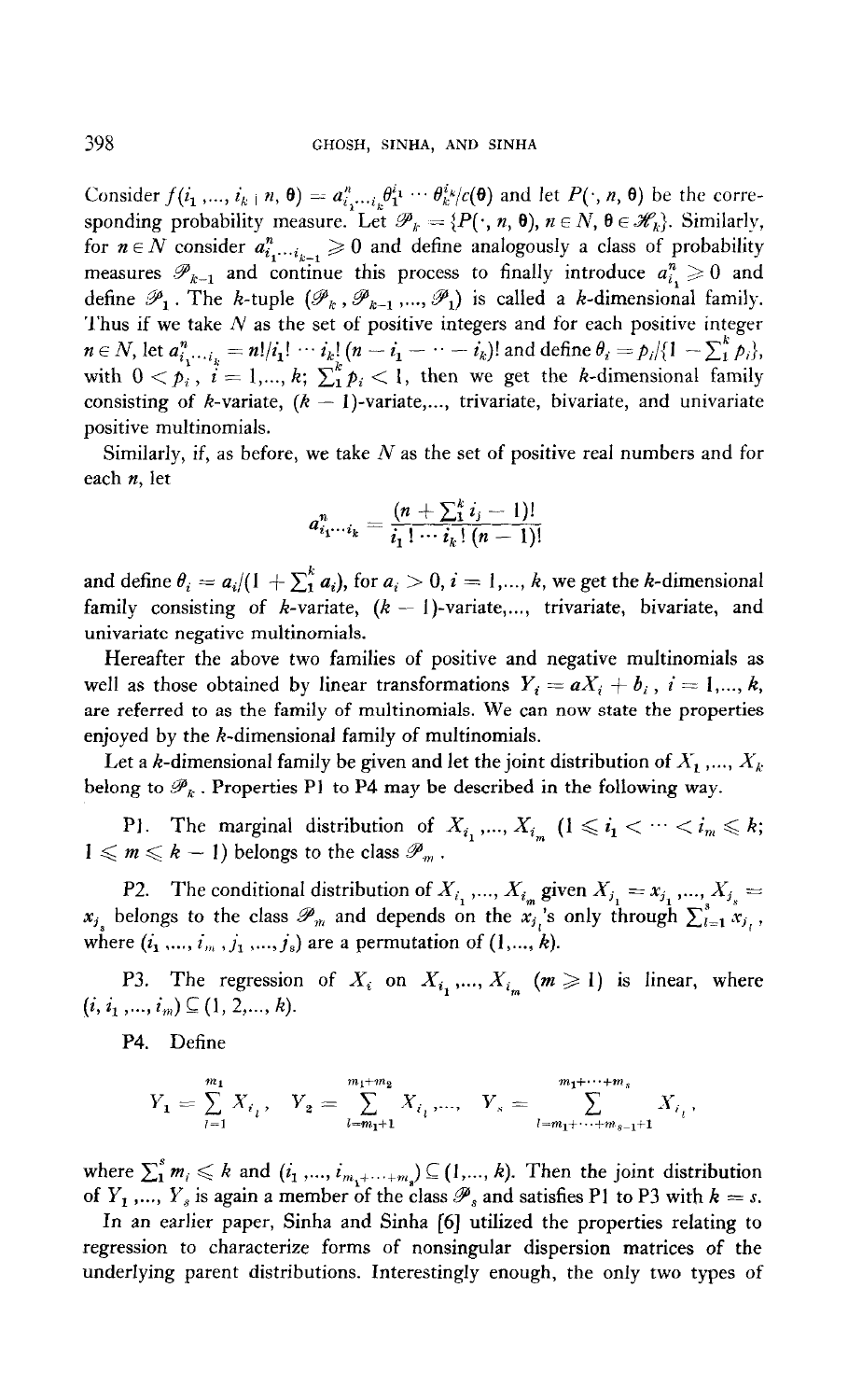Consider  $f(i_1, ..., i_{k} | n, \mathbf{\theta}) = a_{i_1, ..., i_k}^n \theta_1^{i_1} \cdots \theta_k^{i_k}/c(\mathbf{\theta})$  and let  $P(:, n, \mathbf{\theta})$  be the corresponding probability measure. Let  $\mathcal{P}_k = \{P(\cdot, n, \theta), n \in \mathbb{N}, \theta \in \mathcal{H}_k\}$ . Similarly, for  $n \in N$  consider  $a_{i}^{n}$ ,  $\geq 0$  and define analogously a class of probability measures  $\mathscr{P}_{k-1}$  and continue this process to finally introduce  $a_i^n \geq 0$  and define  $\mathscr{P}_1$ . The k-tuple  $(\mathscr{P}_k, \mathscr{P}_{k-1}, ..., \mathscr{P}_1)$  is called a k-dimensional family. Thus if we take  $N$  as the set of positive integers and for each positive integer  $n \in N$ , let  $a_i^n = \frac{1}{i} \cdot \cdots \cdot i$ ,  $(n - i_1 - \cdots - i_k)$  and define  $\theta_i = \frac{1}{2} \cdot \frac{1}{2} \cdot \cdots \cdot \frac{1}{n}$ with  $0 < p$ ,  $i = 1, \ldots, k$ ;  $\sum_{i=1}^{k} p_i < 1$ , then we get the k-dimensional family consisting of k-variate,  $(k - 1)$ -variate,..., trivariate, bivariate, and univariate positive multinomials.

Similarly, if, as before, we take  $N$  as the set of positive real numbers and for each n, let

$$
a_{i_1\cdots i_k}^n = \frac{(n + \sum_{i=1}^k i_j - 1)!}{i_1! \cdots i_k! (n-1)!}
$$

and define  $\theta_i = a_i/(1 + \sum_1^k a_i)$ , for  $a_i > 0$ ,  $i = 1, ..., k$ , we get the k-dimensional family consisting of *k*-variate,  $(k - 1)$ -variate,..., trivariate, bivariate, and univariate negative multinomials.

Hereafter the above two families of positive and negative multinomials as well as those obtained by linear transformations  $Y_i = aX_i + b_i$ ,  $i = 1,..., k$ , are referred to as the family of multinomials. We can now state the properties enjoyed by the  $k$ -dimensional family of multinomials.

Let a k-dimensional family be given and let the joint distribution of  $X_1, ..., X_k$ belong to  $\mathcal{P}_k$ . Properties P1 to P4 may be described in the following way.

P1. The marginal distribution of  $X_{i_1},...,X_{i_m}$   $(1 \leq i_1 < \cdots < i_m \leq k;$  $1 \leqslant m \leqslant k-1$ ) belongs to the class  $\mathscr{P}_m$ .

P2. The conditional distribution of  $X_{i_1},..., X_{i_m}$  given  $X_{j_1} = x_{j_1},..., X_{j_m} =$ xii, belongs to the class  $\mathbb{Z}_2$  and depends on the  $\frac{1}{2}$  only through  $\frac{1}{2}$   $\sum_{i=1}^3$ where  $\frac{1}{2}$  ,  $\frac{1}{2}$  are a permutation of  $\frac{1}{2}$ .

P3. The regression of  $X_i$  on  $X_{i_1},..., X_{i_m}$   $(m \geq 1)$  is linear, where  $(i, i_1, ..., i_m) \subseteq (1, 2, ..., k).$ 

P4. Define

$$
Y_1 = \sum_{i=1}^{m_1} X_{i_i}, \quad Y_2 = \sum_{i=m_1+1}^{m_1+m_2} X_{i_i}, \dots, \quad Y_s = \sum_{i=m_1+\dots+m_{s-1}+1}^{m_1+\dots+m_s} X_{i_i},
$$

where  $C_k$  and  $C_k$  and  $C_k$ . In the joint distribution of  $\mathbb{R}$ . Then the joint distribution distribution distribution of  $\mathbb{R}$ . where  $\sum_{i=1}^m m_i \ll n$  and  $\{e_1, \ldots, e_{m_1 + \cdots + m_s}\} \approx (1, \ldots, n)$ . Then the joint distribution of  $Y_1$ ,...,  $Y_s$  is again a member of the class  $\mathscr{P}_s$  and satisfies P1 to P3 with  $k = s$ .

In an earlier paper, Sinha and Sinha [6] utilized the properties relating to regression to characterize forms of nonsingular dispersion matrices of the underlying parent distributions. Interestingly enough, the only two types of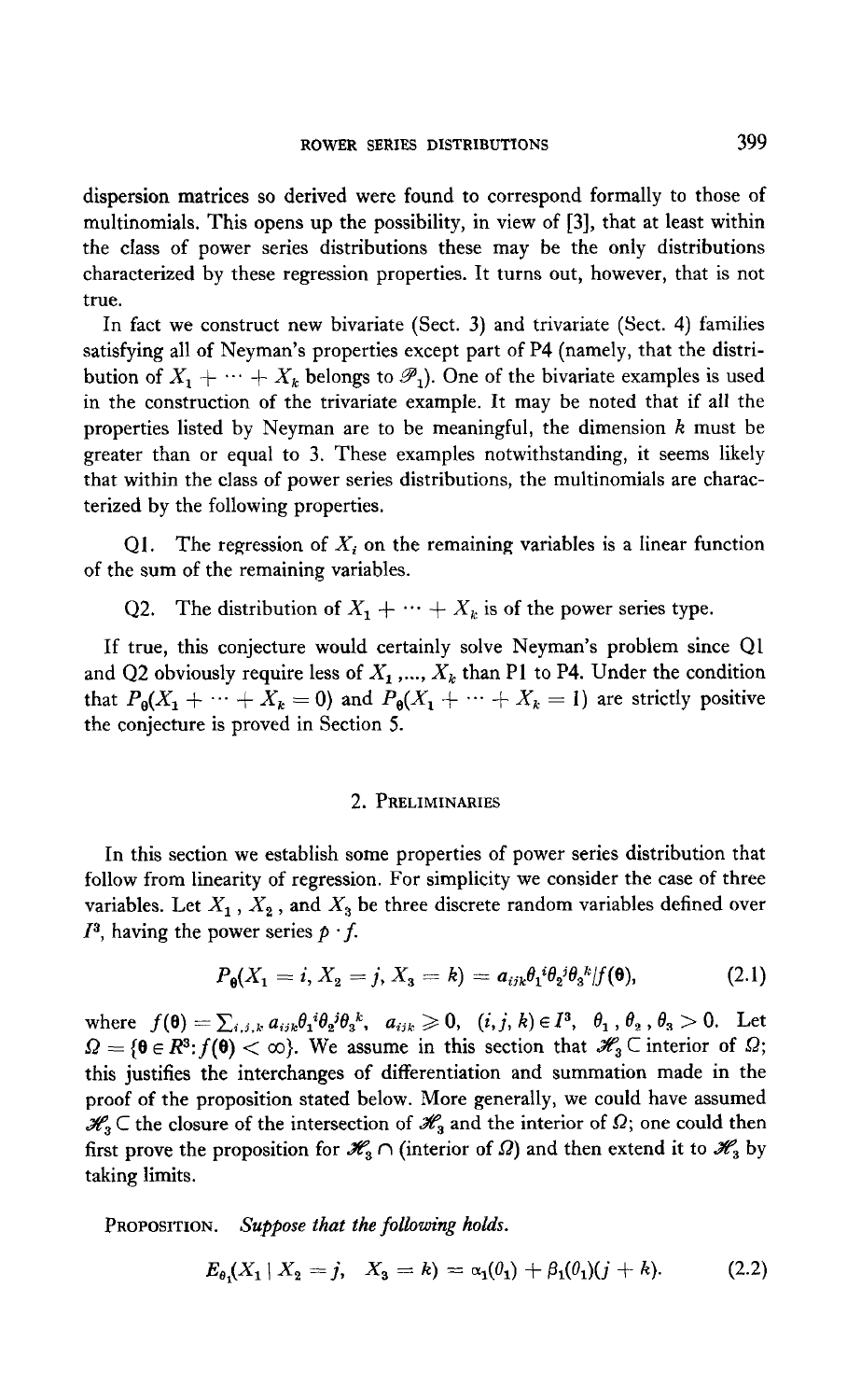dispersion matrices so derived were found to correspond formally to those of multinomials. This opens up the possibility, in view of [3], that at least within the class of power series distributions these may be the only distributions characterized by these regression properties. It turns out, however, that is not true.

In fact we construct new bivariate (Sect. 3) and trivariate (Sect. 4) families satisfying all of Neyman's properties except part of P4 (namely, that the distribution of  $X_1 + \cdots + X_k$  belongs to  $\mathscr{P}_1$ ). One of the bivariate examples is used in the construction of the trivariate example. It may be noted that if all the properties listed by Neyman are to be meaningful, the dimension  $k$  must be greater than or equal to 3. These examples notwithstanding, it seems likely that within the class of power series distributions, the multinomials are characterized by the following properties.

Q1. The regression of  $X_i$  on the remaining variables is a linear function of the sum of the remaining variables.

Q2. The distribution of  $X_1 + \cdots + X_k$  is of the power series type.

If true, this conjecture would certainly solve Neyman's problem since Ql and Q2 obviously require less of  $X_1$ ,...,  $X_k$  than P1 to P4. Under the condition that  $P_{\theta}(X_1 + \cdots + X_k = 0)$  and  $P_{\theta}(X_1 + \cdots + X_k = 1)$  are strictly positive the conjecture is proved in Section 5.

## 2. PRELIMINARIES

In this section we establish some properties of power series distribution that follow from linearity of regression. For simplicity we consider the case of three variables. Let  $X = X - \frac{1}{2} X$ , because the variables defined over variables. Let  $A_1$ ,  $A_2$ , and  $A_3$ 

$$
P_{\theta}(X_1=i, X_2=j, X_3=k) = a_{ijk}\theta_1^{i}\theta_2^{j}\theta_3^{k}/f(\theta), \qquad (2.1)
$$

where  $f(\mathbf{\theta}) = \sum_{i,j,k} a_{ijk} \theta_i^i \theta_i^j \theta_j^k$ ,  $a_{ijk} \geq 0$ ,  $(i, j, k) \in I^3$ ,  $\theta_1$ ,  $\theta_2$ ,  $\theta_3 > 0$ . Let where  $f(\mathbf{0}) = \sum_{i,j,k} a_{ijk} v_1 v_2 v_3, a_{ijk} \geq 0, (i,j,k) \in I, v_1, v_2, v_3 > 0.$  Let  $\omega_2 = \nu \in \mathbb{R}$ ,  $f(\nu) \sim \omega_f$ , we assume in this section that  $\omega_i$  section of  $\omega_i$ , this justifies the interchanges of differentiation and summation made in the proof of the proposition stated below. More generally, we could have assumed  $\mathcal{H}_3 \subset$  the closure of the intersection of  $\mathcal{H}_3$  and the interior of  $\Omega$ ; one could then first prove the proposition for  $\mathcal{H}_3 \cap$  (interior of  $\Omega$ ) and then extend it to  $\mathcal{H}_3$  by taking limits.

PROPOSITION. Suppose that the following holds.

$$
E_{\theta_1}(X_1 \mid X_2 = j, \quad X_3 = k) = \alpha_1(\theta_1) + \beta_1(\theta_1)(j + k). \tag{2.2}
$$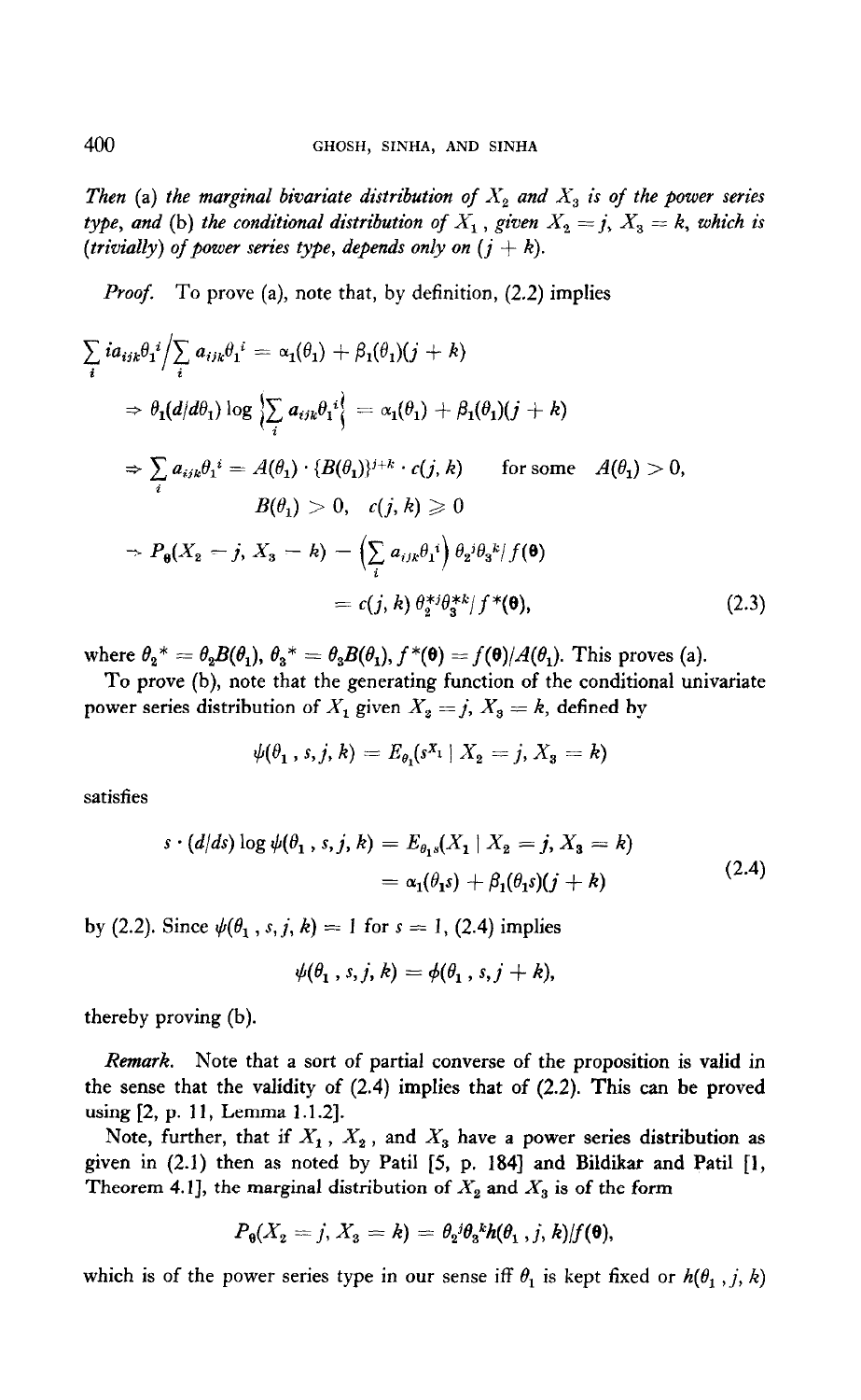Then (a) the marginal bivariate distribution of  $X_2$  and  $X_3$  is of the power series type, and (b) the conditional distribution of  $X_1$ , given  $X_2 = j$ ,  $X_3 = k$ , which is (trivially) of power series type, depends only on  $(j + k)$ .

Proof. To prove (a), note that, by definition, (2.2) implies

$$
\sum_{i} i a_{ijk} \theta_{i}^{i} / \sum_{i} a_{ijk} \theta_{i}^{i} = \alpha_{1}(\theta_{1}) + \beta_{1}(\theta_{1})(j + k)
$$
\n
$$
\Rightarrow \theta_{1}(d/d\theta_{1}) \log \left\{ \sum_{i} a_{ijk} \theta_{i}^{i} \right\} = \alpha_{1}(\theta_{1}) + \beta_{1}(\theta_{1})(j + k)
$$
\n
$$
\Rightarrow \sum_{i} a_{ijk} \theta_{i}^{i} = A(\theta_{1}) \cdot \{B(\theta_{1})\}^{j+k} \cdot c(j, k) \quad \text{for some} \quad A(\theta_{1}) > 0,
$$
\n
$$
B(\theta_{1}) > 0, \quad c(j, k) \ge 0
$$
\n
$$
\Rightarrow P_{0}(X_{2} = j, X_{3} = k) = \left( \sum_{i} a_{ijk} \theta_{1}^{i} \right) \theta_{2}^{j} \theta_{3}^{k} / f(\theta)
$$
\n
$$
= c(j, k) \theta_{2}^{*j} \theta_{3}^{*k} / f^{*}(\theta), \qquad (2.3)
$$

where  $\theta_2^* = \theta_2 B(\theta_1), \theta_3^* = \theta_3 B(\theta_1), f^*(\theta) = f(\theta)/A(\theta_1)$ . This proves (a).

To prove (b), note that the generating function of the conditional univariate power series distribution of  $X_1$  given  $X_2 = j$ ,  $X_3 = k$ , defined by

$$
\psi(\theta_1, s, j, k) = E_{\theta_1}(s^{X_1} | X_2 = j, X_3 = k)
$$

satisfies

$$
s \cdot (d/ds) \log \psi(\theta_1, s, j, k) = E_{\theta_1 s}(X_1 \mid X_2 = j, X_3 = k) = \alpha_1(\theta_1 s) + \beta_1(\theta_1 s)(j + k)
$$
 (2.4)

by (2.2). Since  $\psi(\theta_1, s, j, k) = 1$  for  $s = 1$ , (2.4) implies

$$
\psi(\theta_1,s,j,k)=\phi(\theta_1,s,j+k),
$$

thereby proving (b).

Remark. Note that a sort of partial converse of the proposition is valid in  $t$  the sense that a solid behavior of the proposition is valid in  $\frac{u}{2}$  using  $\frac{2}{3}$ . The validity of  $\frac{1}{3}$ .  $\arg$  [2, p. 11, Lemma 1.1.2].

Note, further, that if  $A_1$ ,  $A_2$ , and  $A_3$  have a power series distribution as given in (2.1) then as noted by Patil [5, p. 184] and Bildikar and Patil [1, Theorem 4.1], the marginal distribution of  $X_2$  and  $X_3$  is of the form

$$
P_{\theta}(X_2=j, X_3=k)=\theta_2{}^{j}\theta_3{}^{k}h(\theta_1,j,k)/f(\theta),
$$

which is of the power series type in our sense iff  $\theta_1$  is kept fixed or  $h(\theta_1, j, k)$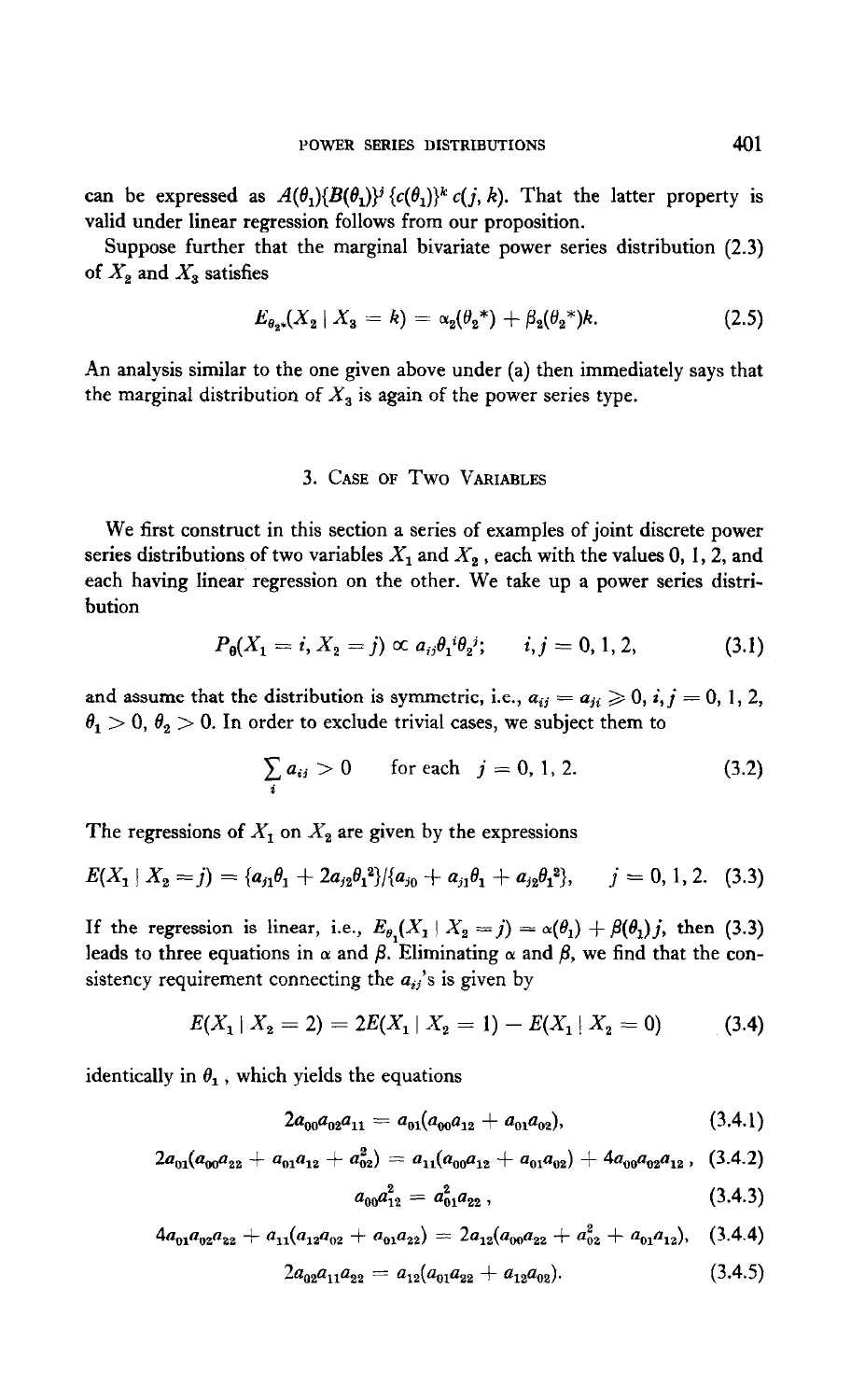can be expressed as  $A(\theta_1)\{B(\theta_1)\}^i \{c(\theta_1)\}^k c(j, k)$ . That the latter property is valid under linear regression follows from our proposition.

Suppose further that the marginal bivariate power series distribution (2.3) of  $X_2$  and  $X_3$  satisfies

$$
E_{\theta_2*}(X_2 \mid X_3 = k) = \alpha_2(\theta_2^*) + \beta_2(\theta_2^*)k. \tag{2.5}
$$

An analysis similar to the one given above under (a) then immediately says that the marginal distribution of  $X_3$  is again of the power series type.

## 3. CASE OF Two VARIABLES

We first construct in this section a series of examples of joint discrete power series distributions of two variables  $X_1$  and  $X_2$ , each with the values 0, 1, 2, and each having linear regression on the other. We take up a power series distribution

$$
P_{\theta}(X_1 = i, X_2 = j) \propto a_{ij}\theta_1^{i}\theta_2^{j}; \qquad i, j = 0, 1, 2,
$$
 (3.1)

and assume that the distribution is symmetric, i.e.,  $a_{ij} = a_{ji} \geq 0$ ,  $i, j = 0, 1, 2$ ,  $\theta_1 > 0$ ,  $\theta_2 > 0$ . In order to exclude trivial cases, we subject them to

$$
\sum_{i} a_{ij} > 0 \quad \text{for each} \quad j = 0, 1, 2. \tag{3.2}
$$

The regressions of  $X_1$  on  $X_2$  are given by the expressions

$$
E(X_1 | X_2 = j) = \{a_{j1}\theta_1 + 2a_{j2}\theta_1^2\}/\{a_{j0} + a_{j1}\theta_1 + a_{j2}\theta_1^2\}, \qquad j = 0, 1, 2. \quad (3.3)
$$

If the regression is linear, i.e.,  $E_{\theta_1}(X_1 | X_2 = j) = \alpha(\theta_1) + \beta(\theta_1) j$ , then (3.3) leads to three equations in  $\alpha$  and  $\beta$ . Eliminating  $\alpha$  and  $\beta$ , we find that the consistency requirement connecting the  $a_{ij}$ 's is given by

$$
E(X_1 \mid X_2 = 2) = 2E(X_1 \mid X_2 = 1) - E(X_1 \mid X_2 = 0) \tag{3.4}
$$

identically in  $\theta_1$ , which yields the equations

$$
2a_{00}a_{02}a_{11}=a_{01}(a_{00}a_{12}+a_{01}a_{02}), \qquad (3.4.1)
$$

$$
2a_{01}(a_{00}a_{22} + a_{01}a_{12} + a_{02}^2) = a_{11}(a_{00}a_{12} + a_{01}a_{02}) + 4a_{00}a_{02}a_{12}, \quad (3.4.2)
$$

$$
a_{00}a_{12}^2 = a_{01}^2 a_{22}, \qquad (3.4.3)
$$

$$
4a_{01}a_{02}a_{22} + a_{11}(a_{12}a_{02} + a_{01}a_{22}) = 2a_{12}(a_{00}a_{22} + a_{02}^2 + a_{01}a_{12}), \quad (3.4.4)
$$

$$
2a_{02}a_{11}a_{22} = a_{12}(a_{01}a_{22} + a_{12}a_{02}). \qquad (3.4.5)
$$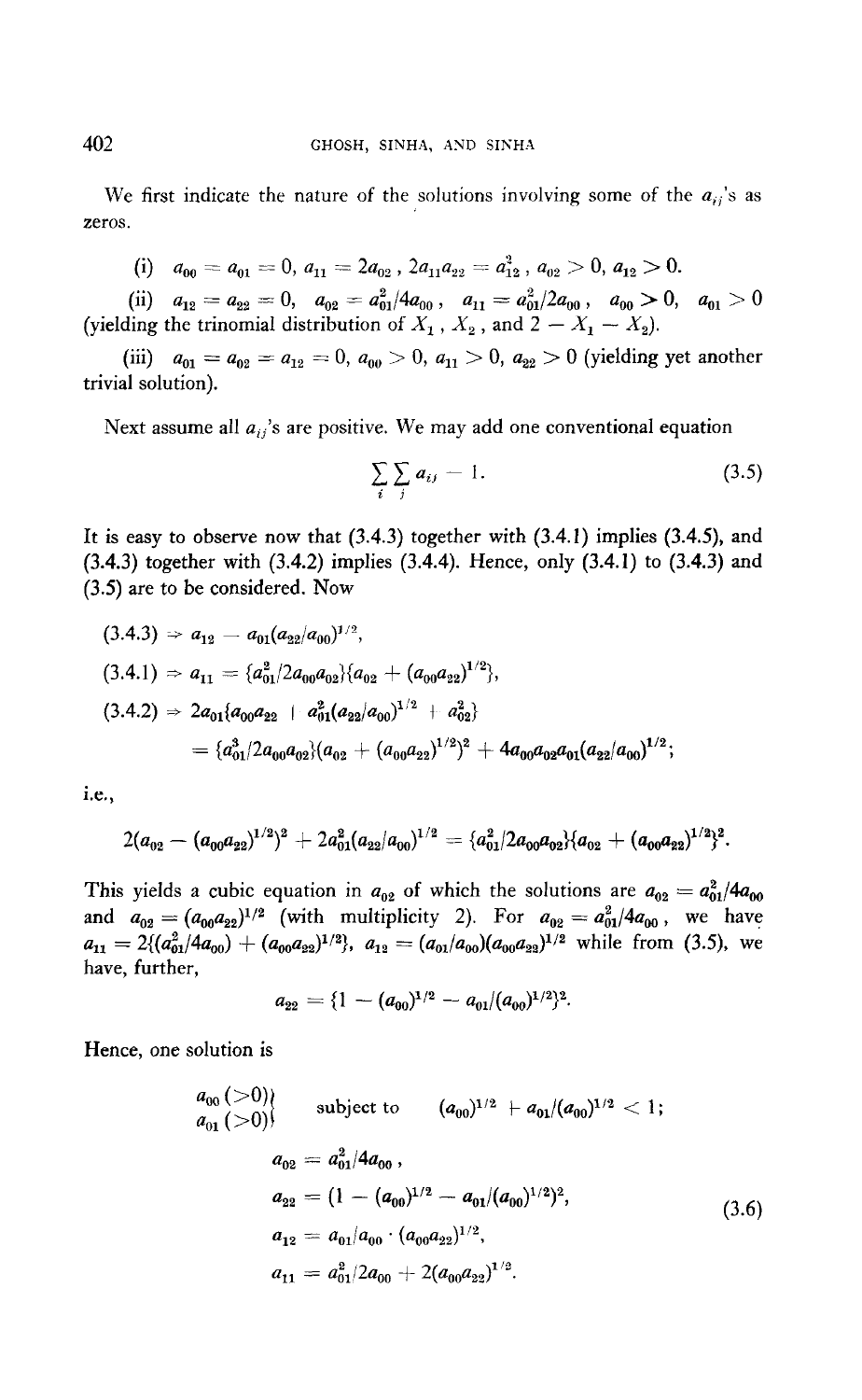We first indicate the nature of the solutions involving some of the  $a_{ii}$ 's as zeros.

(i) 
$$
a_{00} = a_{01} = 0, a_{11} = 2a_{02}, 2a_{11}a_{22} = a_{12}^2, a_{02} > 0, a_{12} > 0.
$$

 $\begin{array}{cc} \text{(ii)} \quad a_{12}=a_{22}=0, & a_{02}=a_{01}^2/4a_{00}\,, & a_{11}=a_{01}^2/2a_{00}\,, & a_{00}>0, & a_{01}>0 \end{array}$ (yielding the trinomial distribution of  $X_1$ ,  $X_2$ , and  $2 - X_1 - X_2$ ).

(iii)  $a_{01} = a_{02} = a_{12} = 0, a_{00} > 0, a_{11} > 0, a_{22} > 0$  (yielding yet another trivial solution).

Next assume all  $a_{ij}$ 's are positive. We may add one conventional equation

$$
\sum_i \sum_j a_{ij} = 1. \tag{3.5}
$$

It is easy to observe now that  $(3.4.3)$  together with  $(3.4.1)$  implies  $(3.4.5)$ , and (3.4.3) together with (3.4.2) implies (3.4.4). Hence, only (3.4.1) to (3.4.3) and (3.5) are to be considered. Now

$$
(3.4.3) \Rightarrow a_{12} = a_{01}(a_{22}/a_{00})^{1/2},
$$
  
\n
$$
(3.4.1) \Rightarrow a_{11} = \{a_{01}^2/2a_{00}a_{02}\}\{a_{02} + (a_{00}a_{22})^{1/2}\},
$$
  
\n
$$
(3.4.2) \Rightarrow 2a_{01}\{a_{00}a_{22} + a_{01}^2(a_{22}/a_{00})^{1/2} + a_{02}^2\}
$$
  
\n
$$
= \{a_{01}^3/2a_{00}a_{02}\}\{a_{02} + (a_{00}a_{22})^{1/2}\}^2 + 4a_{00}a_{02}a_{01}(a_{22}/a_{00})^{1/2};
$$

I.e.,

$$
2(a_{02} - (a_{00}a_{22})^{1/2})^2 + 2a_{01}^2(a_{22}/a_{00})^{1/2} = {a_{01}^2/2a_{00}a_{02}}{(a_{02} + (a_{00}a_{22})^{1/2})^2}.
$$

This yields a cubic equation in  $a_{02}$  of which the solutions are  $a_{02} = a_{01}^2/4a_{00}$ and a,  $\frac{1}{2}$  (with multiplicity  $\frac{1}{2}$ , with multiplicity  $\frac{1}{2}$ , which multiplies  $\frac{1}{2}$  $- 2(ka^2/ka) + (a-a)(2k) a =$  $\frac{1}{1}$   $\frac{1}{1}$ (u~~/u~)(u,,~u~~)~~~ while from (3.5), we

$$
a_{22} = \{1 - (a_{00})^{1/2} - a_{01}/(a_{00})^{1/2}\}^2.
$$

Hence, one solution is

$$
a_{00} (>0)
$$
 subject to  $(a_{00})^{1/2} + a_{01}/(a_{00})^{1/2} < 1;$   
\n
$$
a_{02} = a_{01}^2/4a_{00},
$$
  
\n
$$
a_{22} = (1 - (a_{00})^{1/2} - a_{01}/(a_{00})^{1/2})^2,
$$
  
\n
$$
a_{12} = a_{01}/a_{00} \cdot (a_{00}a_{22})^{1/2},
$$
  
\n
$$
a_{11} = a_{01}^2/2a_{00} + 2(a_{00}a_{22})^{1/2}.
$$
\n(3.6)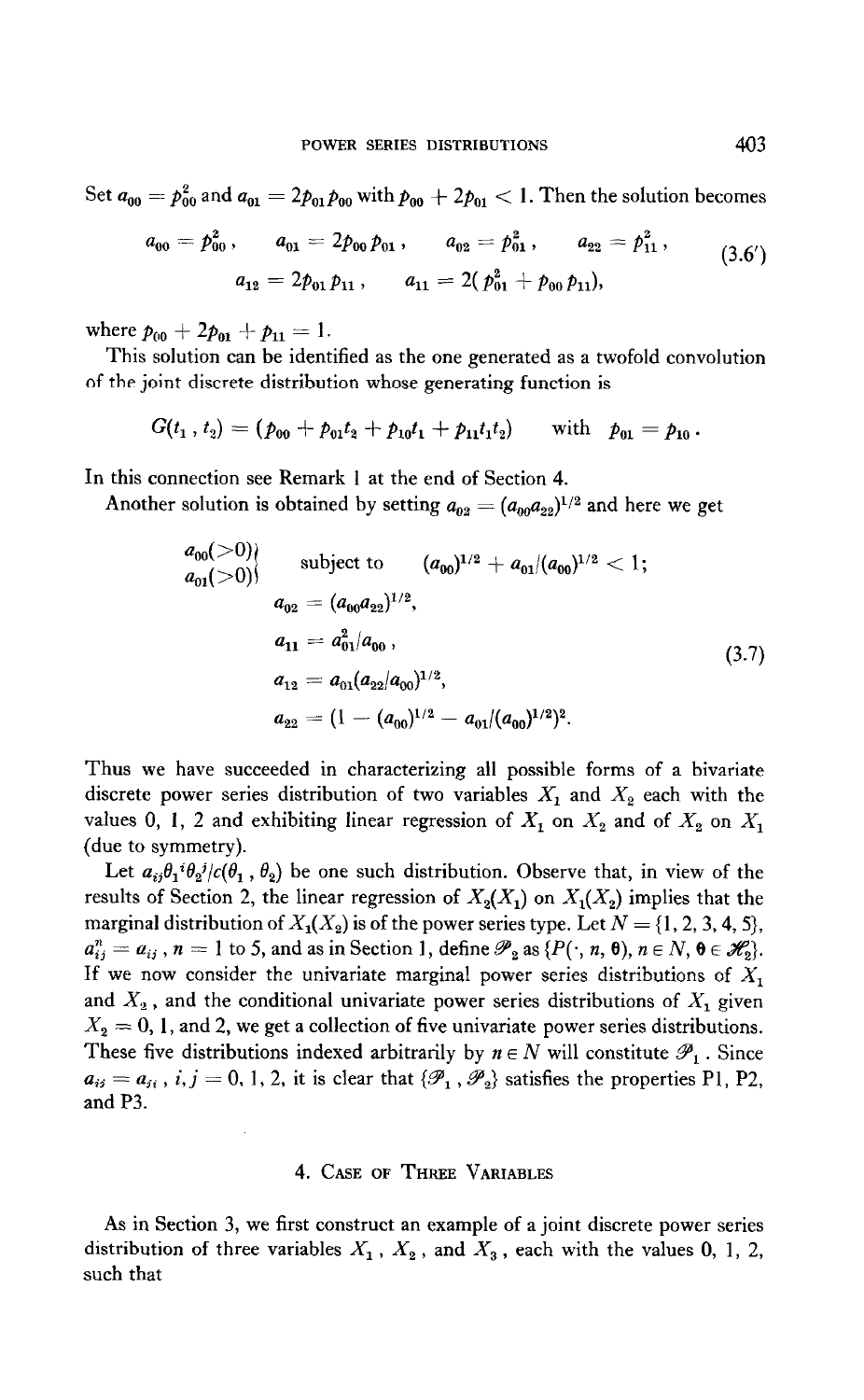Set  $a_{00} = p_{00}^2$  and  $a_{01} = 2p_{01}p_{00}$  with  $p_{00} + 2p_{01} < 1$ . Then the solution becomes

$$
a_{00} = p_{00}^2, \qquad a_{01} = 2p_{00}p_{01}, \qquad a_{02} = p_{01}^2, \qquad a_{22} = p_{11}^2,
$$
  

$$
a_{12} = 2p_{01}p_{11}, \qquad a_{11} = 2(p_{01}^2 + p_{00}p_{11}), \qquad (3.6')
$$

where  $p_{00} + 2p_{01} + p_{11} = 1$ .

This solution can be identified as the one generated as a twofold convolution of the joint discrete distribution whose generating function is

$$
G(t_1, t_2) = (p_{00} + p_{01}t_2 + p_{10}t_1 + p_{11}t_1t_2) \quad \text{with} \quad p_{01} = p_{10}.
$$

In this connection see Remark 1 at the end of Section 4.

Another solution is obtained by setting  $a_{02} = (a_{00}a_{22})^{1/2}$  and here we get

$$
a_{00}(\geq 0)
$$
 subject to  $(a_{00})^{1/2} + a_{01}/(a_{00})^{1/2} < 1;$   
\n
$$
a_{02} = (a_{00}a_{22})^{1/2},
$$
  
\n
$$
a_{11} = a_{01}^2/a_{00},
$$
  
\n
$$
a_{12} = a_{01}(a_{22}/a_{00})^{1/2},
$$
  
\n
$$
a_{22} = (1 - (a_{00})^{1/2} - a_{01}/(a_{00})^{1/2})^2.
$$
\n
$$
(3.7)
$$

Thus we have succeeded in characterizing all possible forms of a bivariate discrete power series distribution of two variables  $X_1$  and  $X_2$  each with the values 0, 1, 2 and exhibiting linear regression of  $X_1$  on  $X_2$  and of  $X_2$  on  $X_1$ (due to symmetry).

Let  $a_{ij}\theta_1 i\theta_2 j/c(\theta_1, \theta_2)$  be one such distribution. Observe that, in view of the results of Section 2, the linear regression of  $X_2(X_1)$  on  $X_1(X_2)$  implies that the marginal distribution of  $X_1(X_2)$  is of the power series type. Let  $N = \{1, 2, 3, 4, 5\}$ ,  $a_{ij}^n = a_{ij}$ ,  $n = 1$  to 5, and as in Section 1, define  $\mathcal{P}_2$  as  $\{P(\cdot, n, \theta), n \in \mathbb{N}, \theta \in \mathcal{H}_2\}$ . If we now consider the univariate marginal power series distributions of  $X_1$ and  $X_2$ , and the conditional univariate power series distributions of  $X_1$  given  $X_2 = 0$ , 1, and 2, we get a collection of five univariate power series distributions. These five distributions indexed arbitrarily by  $n \in N$  will constitute  $\mathcal{P}_1$ . Since  $a_{ij} = a_{ji}$ , i,  $j = 0, 1, 2$ , it is clear that  $\{\mathscr{P}_1, \mathscr{P}_2\}$  satisfies the properties P1, P2, and P3.

### 4. CASE OF THREE VARIABLES

As in Section 3, we first construct an example of a joint discrete power series distribution of three variables  $X_1$ ,  $X_2$ , and  $X_3$ , each with the values 0, 1, 2, such that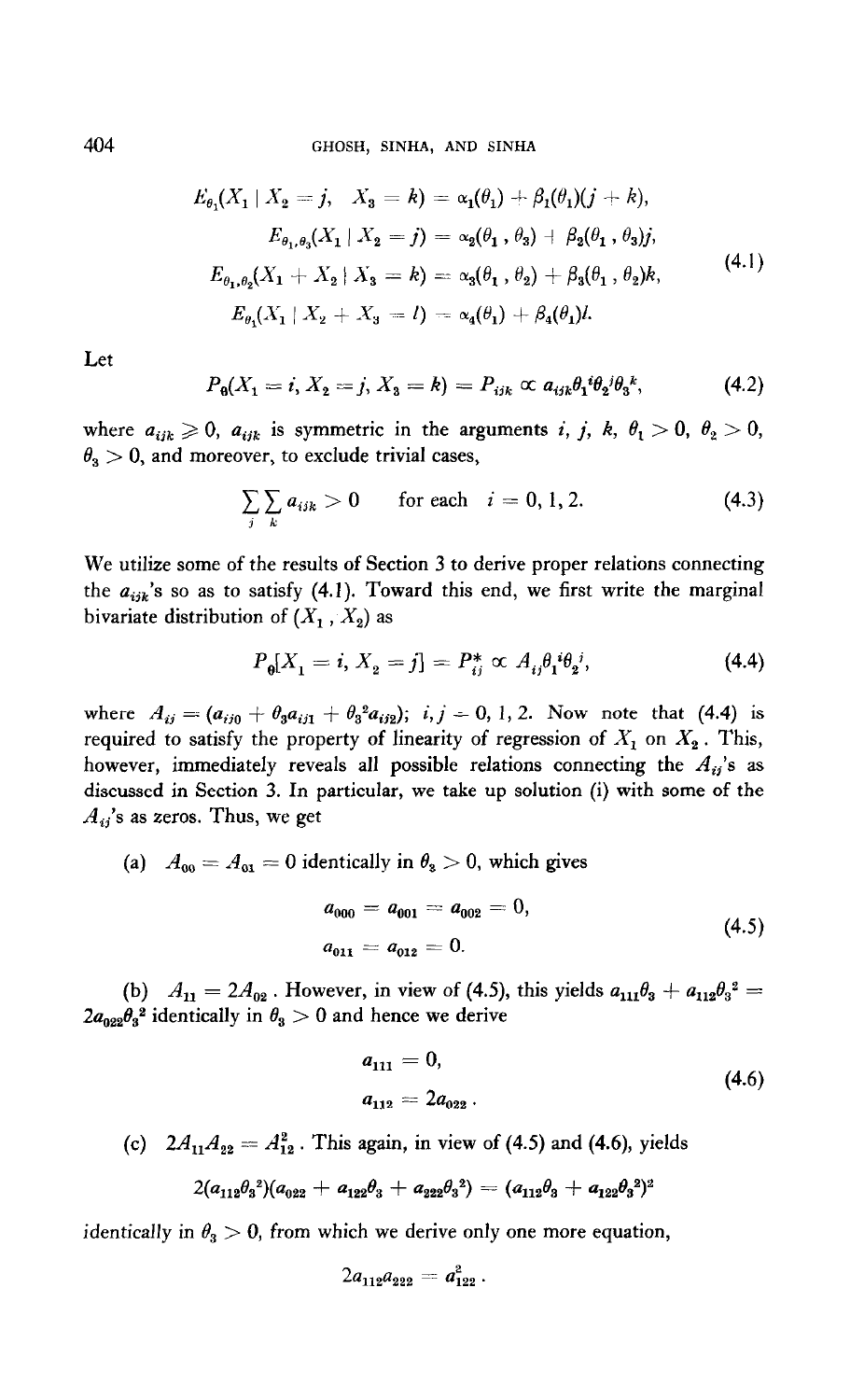$$
E_{\theta_1}(X_1 | X_2 = j, X_3 = k) = \alpha_1(\theta_1) + \beta_1(\theta_1)(j + k),
$$
  
\n
$$
E_{\theta_1, \theta_3}(X_1 | X_2 = j) = \alpha_2(\theta_1, \theta_3) + \beta_2(\theta_1, \theta_3)j,
$$
  
\n
$$
E_{\theta_1, \theta_2}(X_1 + X_2 | X_3 = k) = \alpha_3(\theta_1, \theta_2) + \beta_3(\theta_1, \theta_2)k,
$$
  
\n
$$
E_{\theta_1}(X_1 | X_2 + X_3 = l) = \alpha_4(\theta_1) + \beta_4(\theta_1)l.
$$
\n(4.1)

Let

$$
P_{\mathbf{0}}(X_1=i, X_2=j, X_3=k)=P_{ijk} \propto a_{ijk}\theta_1 i\theta_2 j\theta_3 k, \qquad (4.2)
$$

where  $a_{ijk} \geq 0$ ,  $a_{ijk}$  is symmetric in the arguments i, j, k,  $\theta_1 > 0$ ,  $\theta_2 > 0$ ,  $\theta_3 > 0$ , and moreover, to exclude trivial cases,

$$
\sum_{i} \sum_{k} a_{ijk} > 0 \quad \text{for each} \quad i = 0, 1, 2. \tag{4.3}
$$

We utilize some of the results of Section 3 to derive proper relations connecting the  $a_{ijk}$ 's so as to satisfy (4.1). Toward this end, we first write the marginal bivariate distribution of  $(X_1, X_2)$  as

$$
P_{\theta}[X_1 = i, X_2 = j] = P_{ij}^* \propto A_{ij}\theta_1^i \theta_2^j,
$$
\n(4.4)

where  $A_{ij} = (a_{ij0} + \theta_3 a_{ij1} + \theta_3 a_{ij2}); i, j = 0, 1, 2.$  Now note that (4.4) is required to satisfy the property of linearity of regression of  $X_1$  on  $X_2$ . This, however, immediately reveals all possible relations connecting the  $A_{ij}$ 's as discussed in Section 3. In particular, we take up solution (i) with some of the  $A_{ij}$ 's as zeros. Thus, we get

(a) 
$$
A_{00} = A_{01} = 0
$$
 identically in  $\theta_3 > 0$ , which gives  

$$
a_{000} = a_{001} = a_{002} = 0,
$$

$$
a_{011} = a_{012} = 0. \tag{4.5}
$$

(b)  $A = 2A$  However, in view of (4.5), this violds a  $A + a$ ,  $A$ ,  $A$  $(0)$   $A_{11} = 2A_{02}$ . However, in view of (7.9),

$$
a_{111} = 0,
$$
  
\n
$$
a_{112} = 2a_{022}.
$$
\n(4.6)

(c)  $2A_{11}A_{22} = A_{12}^2$ . This again, in view of (4.5) and (4.6), yields

$$
2(a_{112}\theta_3^{\ 2})(a_{022} + a_{122}\theta_3 + a_{222}\theta_3^{\ 2}) = (a_{112}\theta_3 + a_{122}\theta_3^{\ 2})^2
$$

identically in  $\theta_3 > 0$ , from which we derive only one more equation,

$$
2a_{112}a_{222} = a_{122}^2.
$$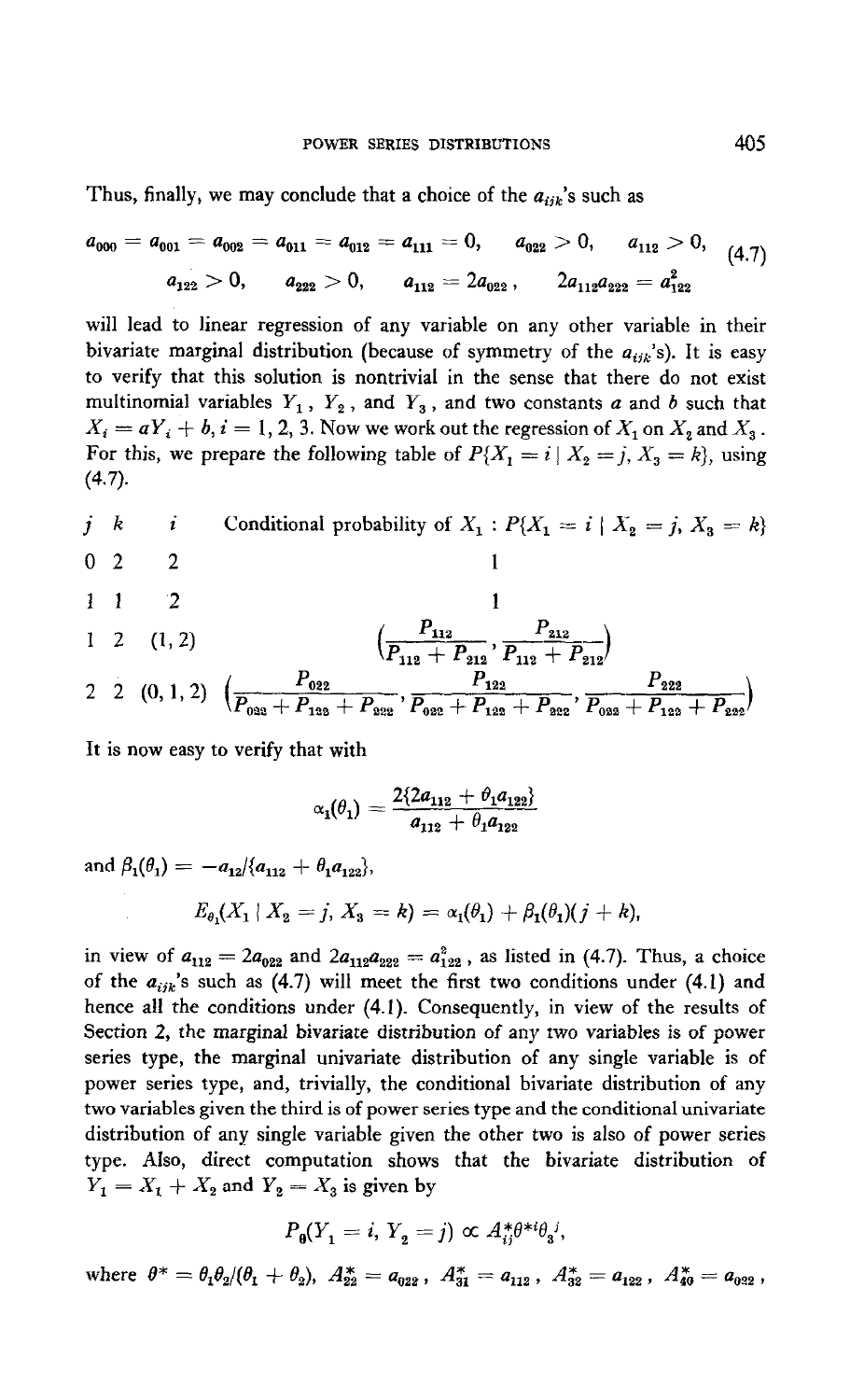Thus, finally, we may conclude that a choice of the  $a_{ijk}$ 's such as

$$
a_{000} = a_{001} = a_{002} = a_{011} = a_{012} = a_{111} = 0, \qquad a_{022} > 0, \qquad a_{112} > 0, \qquad (4.7)
$$
  

$$
a_{122} > 0, \qquad a_{222} > 0, \qquad a_{112} = 2a_{022}, \qquad 2a_{112}a_{222} = a_{122}^2
$$

will lead to linear regression of any variable on any other variable in their bivariate marginal distribution (because of symmetry of the  $a_{ijk}$ 's). It is easy to verify that this solution is nontrivial in the sense that there do not exist multinomial variables  $Y_1$ ,  $Y_2$ , and  $Y_3$ , and two constants a and b such that  $X_i = aY_i + b, i = 1, 2, 3$ . Now we work out the regression of  $X_1$  on  $X_2$  and  $X_3$ . For this, we prepare the following table of  $P\{X_1 = i \mid X_2 = j, X_3 = k\}$ , using (4.7).

*j k i* Conditional probability of 
$$
X_1 : P{X_1 = i | X_2 = j, X_3 = k}
$$
  
0 2 2 1

<sup>1</sup>2 (112) ( <sup>P</sup>112 P <sup>212</sup> PI12 + p212'P,,,+zG )

2 2 (0, 1, 2) 
$$
\left(\frac{P_{022}}{P_{023} + P_{123} + P_{223}}, \frac{P_{122}}{P_{022} + P_{123} + P_{223}}, \frac{P_{222}}{P_{023} + P_{123} + P_{223}}\right)
$$

It is now easy to verify that with

$$
\alpha_1(\theta_1) = \frac{2\{2a_{112} + \theta_1a_{122}\}}{a_{112} + \theta_1a_{122}}
$$

and  $\beta_1(\theta_1) = -a_{12}/\{a_{112} + \theta_1 a_{122}\},\$ 

$$
E_{\theta_1}(X_1 \mid X_2 = j, X_3 = k) = \alpha_1(\theta_1) + \beta_1(\theta_1)(j + k),
$$

in view of  $a_{112} = 2a_{022}$  and  $2a_{112}a_{222} = a_{122}^2$ , as listed in (4.7). Thus, a choice of the  $a_{ijk}$ 's such as (4.7) will meet the first two conditions under (4.1) and hence all the conditions under (4.1). Consequently, in view of the results of Section 2, the marginal bivariate distribution of any two variables is of power series type, the marginal univariate distribution of any single variable is of power series type, and, trivially, the conditional bivariate distribution of any two variables given the third is of power series type and the conditional univariate distribution of any single variable variable given the other two is also of power series of power series when the computation of the period variable given the bitch the bill of the bird of type. Also, direct computation shows that the bivariate distribution of  $Y_1 = X_1 + X_2$  and  $Y_2 = X_3$  is given by

$$
P_{\theta}(Y_1=i, Y_2=j) \propto A_{ij}^* \theta^{*i} \theta_j{}^j,
$$

where  $\theta^* = \theta_1 \theta_2 / (\theta_1 + \theta_2)$ ,  $A_{22}^* = a_{022}$ ,  $A_{31}^* = a_{112}$ ,  $A_{32}^* = a_{122}$ ,  $A_{40}^* = a_{022}$ ,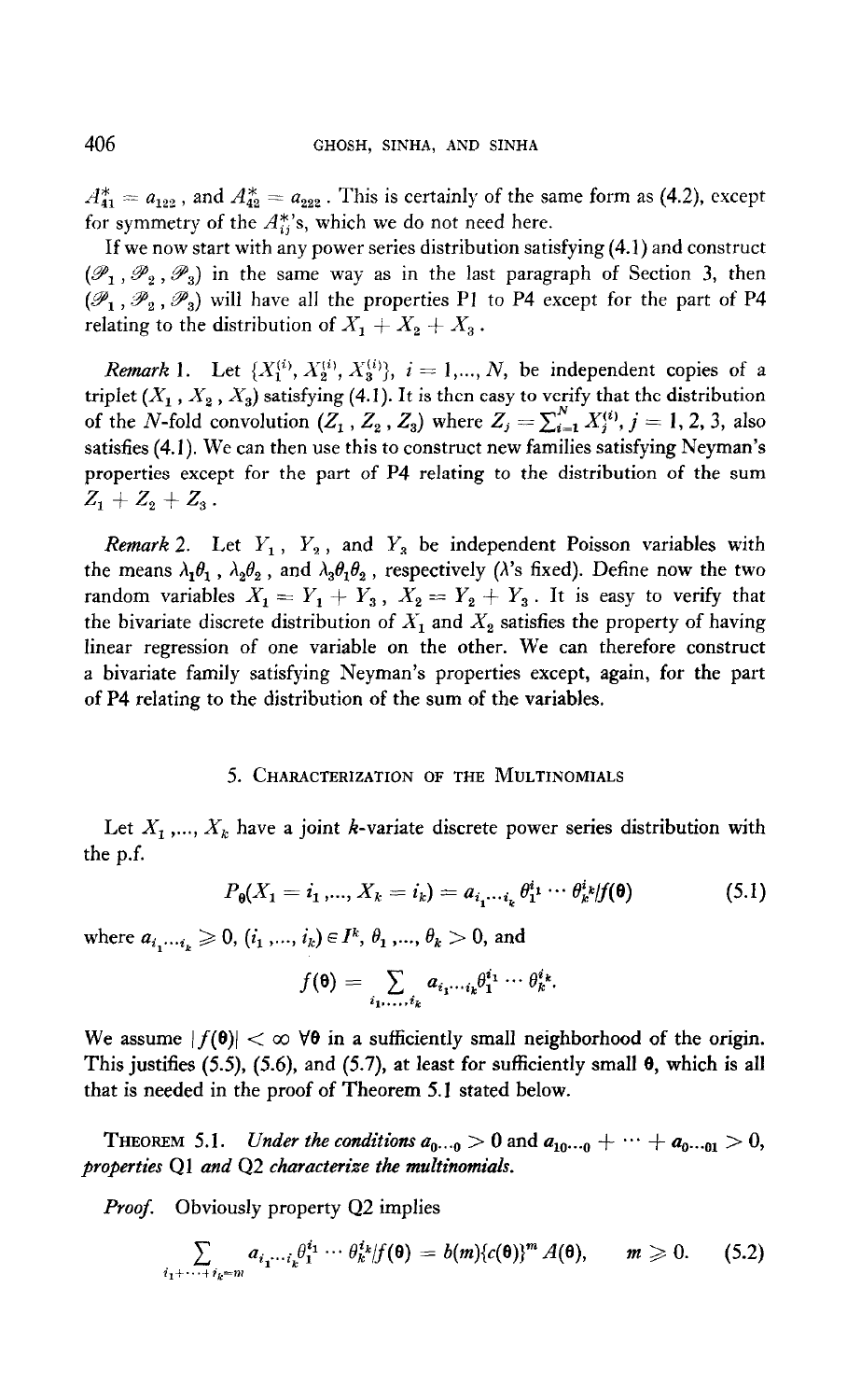$A_{41}^* = a_{122}$ , and  $A_{42}^* = a_{222}$ . This is certainly of the same form as (4.2), except for symmetry of the  $A_{ij}^{*}$ 's, which we do not need here.

If we now start with any power series distribution satisfying (4.1) and construct  $(\mathscr{P}_1, \mathscr{P}_2, \mathscr{P}_3)$  in the same way as in the last paragraph of Section 3, then  $(\mathscr{P}_1, \mathscr{P}_2, \mathscr{P}_3)$  will have all the properties P1 to P4 except for the part of P4 relating to the distribution of  $X_1 + X_2 + X_3$ .

*Remark* 1. Let  $\{X_1^{(i)}, X_2^{(i)}, X_3^{(i)}\}$ ,  $i = 1,..., N$ , be independent copies of a triplet  $(X_1, X_2, X_3)$  satisfying (4.1). It is then easy to verify that the distribution of the N-fold convolution  $(Z_1, Z_2, Z_3)$  where  $Z_j = \sum_{i=1}^N X_i^{(i)}$ ,  $j = 1, 2, 3$ , also satisfies (4. I). We can then use this to construct new families satisfying Neyman's properties except for the part of P4 relating to the distribution of the sum  $Z_1 + Z_2 + Z_3$ .

Remark 2. Let  $Y_1$ ,  $Y_2$ , and  $Y_3$  be independent Poisson variables with the means  $\lambda_1\theta_1$ ,  $\lambda_2\theta_2$ , and  $\lambda_3\theta_1\theta_2$ , respectively ( $\lambda$ 's fixed). Define now the two random variables  $X_1 = Y_1 + Y_3$ ,  $X_2 = Y_2 + Y_3$ . It is easy to verify that the bivariate discrete distribution of  $X_1$  and  $X_2$  satisfies the property of having linear regression of one variable on the other. We can therefore construct a bivariate family satisfying Neyman's properties except, again, for the part of P4 relating to the distribution of the sum of the variables.

#### 5. CHARACTERIZATION OF THE MULTINOMIALS

Let  $X_1, ..., X_k$  have a joint k-variate discrete power series distribution with the p.f.

$$
P_{\theta}(X_1 = i_1, ..., X_k = i_k) = a_{i_1 \cdots i_k} \theta_1^{i_1} \cdots \theta_k^{i_k} / f(\theta)
$$
\n(5.1)

where  $a_{i_1 \cdots i_k} \geq 0$ ,  $(i_1, ..., i_k) \in I^k$ ,  $\theta_1, ..., \theta_k > 0$ , and

$$
f(\mathbf{\Theta}) = \sum_{i_1,\ldots,i_k} a_{i_1\cdots i_k} \theta_1^{i_1} \cdots \theta_k^{i_k}.
$$

We assume  $|f(\theta)| < \infty$   $\forall \theta$  in a sufficiently small neighborhood of the origin. This justifies (5.5), (5.6), and (5.7), at least for sufficiently small  $\theta$ , which is all that is needed in the proof of Theorem 5.1 stated below.

The conditions are defined as a, ... .0  $\sim$  ... .0. . . .01 and a,,.. .01  $\sim$  ... .01  $\sim$  ... .01  $\sim$ **Properties Algebra** 1.1. Characterize the conditions  $a_{0\cdots0} > 0$  and

Proof. Obviously property Q2 implies

$$
\sum_{i_1+\cdots+i_k=m} a_{i_1\cdots i_k} \theta_1^{i_1}\cdots \theta_k^{i_k} |f(\mathbf{0})=b(m)\{c(\mathbf{0})\}^m A(\mathbf{0}), \qquad m\geqslant 0. \qquad (5.2)
$$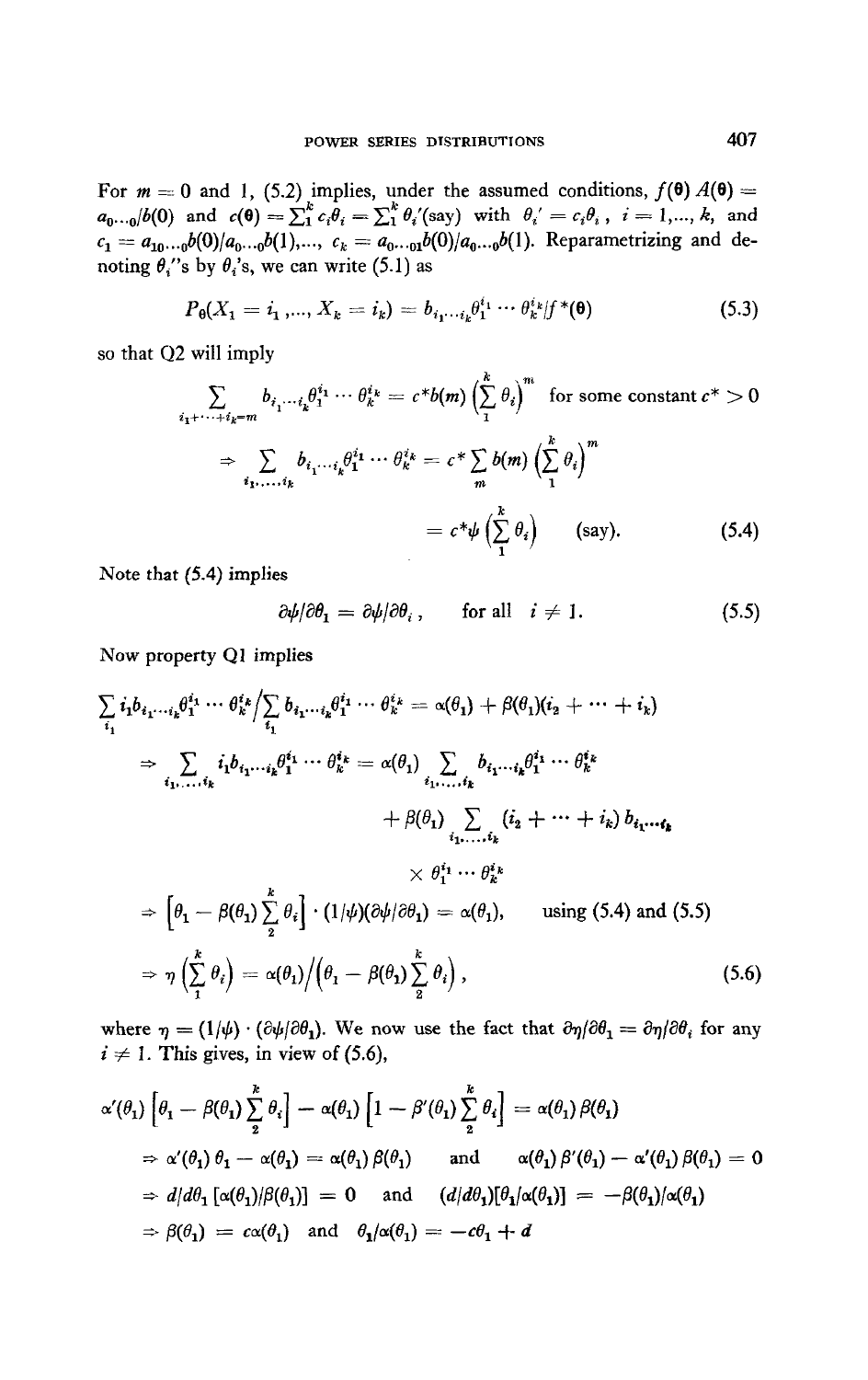For  $m = 0$  and 1, (5.2) implies, under the assumed conditions,  $f(\theta) A(\theta) = a_{0 \cdots 0}/b(0)$  and  $c(\theta) = \sum_{i=1}^{k} c_i \theta_i = \sum_{i=1}^{k} \theta_i'$  (say) with  $\theta_i' = c_i \theta_i$ ,  $i = 1, ..., k$ , and  $c_1 = a_{10...0}b(0)/a_0...b(1)$ ,...,  $c_k = a_{0...01}b(0)/a_0...b(1)$ . Reparametrizing and denoting  $\theta_i$ 's by  $\theta_i$ 's, we can write (5.1) as

$$
P_{\theta}(X_1 = i_1, ..., X_k = i_k) = b_{i_1 \cdots i_k} \theta_1^{i_1} \cdots \theta_k^{i_k} | f^*(\theta)
$$
\n(5.3)

so that Q2 will imply

$$
\sum_{i_1 + \dots + i_k = m} b_{i_1 \dots i_k} \theta_1^{i_1} \dots \theta_k^{i_k} = c^* b(m) \left(\sum_{i=1}^k \theta_i\right)^m \text{ for some constant } c^* > 0
$$

$$
\Rightarrow \sum_{i_1, \dots, i_k} b_{i_1 \dots i_k} \theta_1^{i_1} \dots \theta_k^{i_k} = c^* \sum_m b(m) \left(\sum_{i=1}^k \theta_i\right)^m
$$

$$
= c^* \psi \left(\sum_{i=1}^k \theta_i\right) \qquad \text{(say).} \tag{5.4}
$$

Note that (5.4) implies

$$
\frac{\partial \psi}{\partial \theta_1} = \frac{\partial \psi}{\partial \theta_i}, \quad \text{for all} \quad i \neq 1. \tag{5.5}
$$

Now property Q1 implies

$$
\sum_{i_1} i_1 b_{i_1 \cdots i_k} \theta_1^{i_1} \cdots \theta_k^{i_k} / \sum_{i_1} b_{i_1 \cdots i_k} \theta_1^{i_1} \cdots \theta_k^{i_k} = \alpha(\theta_1) + \beta(\theta_1)(i_2 + \cdots + i_k)
$$
\n
$$
\Rightarrow \sum_{i_1, \ldots, i_k} i_1 b_{i_1 \cdots i_k} \theta_1^{i_1} \cdots \theta_k^{i_k} = \alpha(\theta_1) \sum_{i_1, \ldots, i_k} b_{i_1 \cdots i_k} \theta_1^{i_1} \cdots \theta_k^{i_k}
$$
\n
$$
+ \beta(\theta_1) \sum_{i_1, \ldots, i_k} (i_2 + \cdots + i_k) b_{i_1 \cdots i_k}
$$
\n
$$
\times \theta_1^{i_1} \cdots \theta_k^{i_k}
$$
\n
$$
\Rightarrow \left[\theta_1 - \beta(\theta_1) \sum_{i_1}^k \theta_i\right] \cdot (1/\psi)(\partial \psi/\partial \theta_1) = \alpha(\theta_1), \quad \text{using (5.4) and (5.5)}
$$
\n
$$
\Rightarrow \eta \left(\sum_{i_1}^k \theta_i\right) = \alpha(\theta_1) / \left(\theta_1 - \beta(\theta_1) \sum_{i_2}^k \theta_i\right), \quad (5.6)
$$

where  $\eta = (1/\psi) \cdot (\partial \psi/\partial \theta_1)$ . We now use the fact that  $\partial \eta/\partial \theta_1 = \partial \eta/\partial \theta_i$  for any  $i \neq 1$ . This gives, in view of (5.6),

$$
\alpha'(\theta_1) \left[ \theta_1 - \beta(\theta_1) \sum_{2}^{k} \theta_i \right] - \alpha(\theta_1) \left[ 1 - \beta'(\theta_1) \sum_{2}^{k} \theta_i \right] = \alpha(\theta_1) \beta(\theta_1)
$$
\n
$$
\Rightarrow \alpha'(\theta_1) \theta_1 - \alpha(\theta_1) = \alpha(\theta_1) \beta(\theta_1) \quad \text{and} \quad \alpha(\theta_1) \beta'(\theta_1) - \alpha'(\theta_1) \beta(\theta_1) = 0
$$
\n
$$
\Rightarrow d/d\theta_1 \left[ \alpha(\theta_1) / \beta(\theta_1) \right] = 0 \quad \text{and} \quad (d/d\theta_1) [\theta_1 / \alpha(\theta_1)] = -\beta(\theta_1) / \alpha(\theta_1)
$$
\n
$$
\Rightarrow \beta(\theta_1) = c\alpha(\theta_1) \quad \text{and} \quad \theta_1 / \alpha(\theta_1) = -c\theta_1 + d
$$